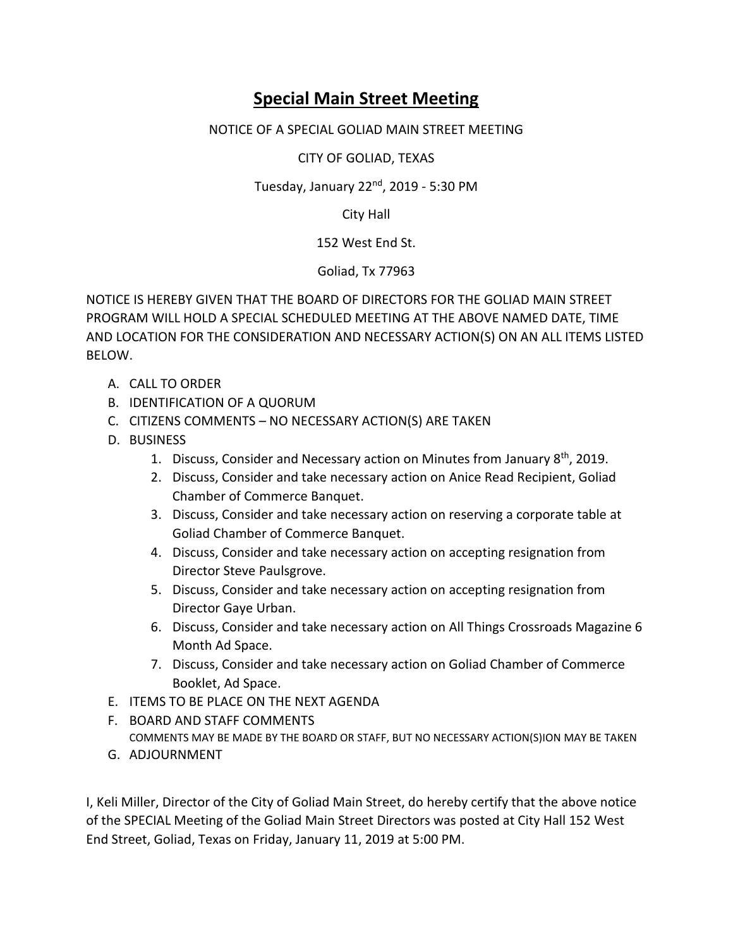## **Special Main Street Meeting**

## NOTICE OF A SPECIAL GOLIAD MAIN STREET MEETING

CITY OF GOLIAD, TEXAS

Tuesday, January  $22<sup>nd</sup>$ , 2019 - 5:30 PM

City Hall

152 West End St.

Goliad, Tx 77963

NOTICE IS HEREBY GIVEN THAT THE BOARD OF DIRECTORS FOR THE GOLIAD MAIN STREET PROGRAM WILL HOLD A SPECIAL SCHEDULED MEETING AT THE ABOVE NAMED DATE, TIME AND LOCATION FOR THE CONSIDERATION AND NECESSARY ACTION(S) ON AN ALL ITEMS LISTED BELOW.

- A. CALL TO ORDER
- B. IDENTIFICATION OF A QUORUM
- C. CITIZENS COMMENTS NO NECESSARY ACTION(S) ARE TAKEN
- D. BUSINESS
	- 1. Discuss, Consider and Necessary action on Minutes from January  $8<sup>th</sup>$ , 2019.
	- 2. Discuss, Consider and take necessary action on Anice Read Recipient, Goliad Chamber of Commerce Banquet.
	- 3. Discuss, Consider and take necessary action on reserving a corporate table at Goliad Chamber of Commerce Banquet.
	- 4. Discuss, Consider and take necessary action on accepting resignation from Director Steve Paulsgrove.
	- 5. Discuss, Consider and take necessary action on accepting resignation from Director Gaye Urban.
	- 6. Discuss, Consider and take necessary action on All Things Crossroads Magazine 6 Month Ad Space.
	- 7. Discuss, Consider and take necessary action on Goliad Chamber of Commerce Booklet, Ad Space.
- E. ITEMS TO BE PLACE ON THE NEXT AGENDA
- F. BOARD AND STAFF COMMENTS COMMENTS MAY BE MADE BY THE BOARD OR STAFF, BUT NO NECESSARY ACTION(S)ION MAY BE TAKEN
- G. ADJOURNMENT

I, Keli Miller, Director of the City of Goliad Main Street, do hereby certify that the above notice of the SPECIAL Meeting of the Goliad Main Street Directors was posted at City Hall 152 West End Street, Goliad, Texas on Friday, January 11, 2019 at 5:00 PM.